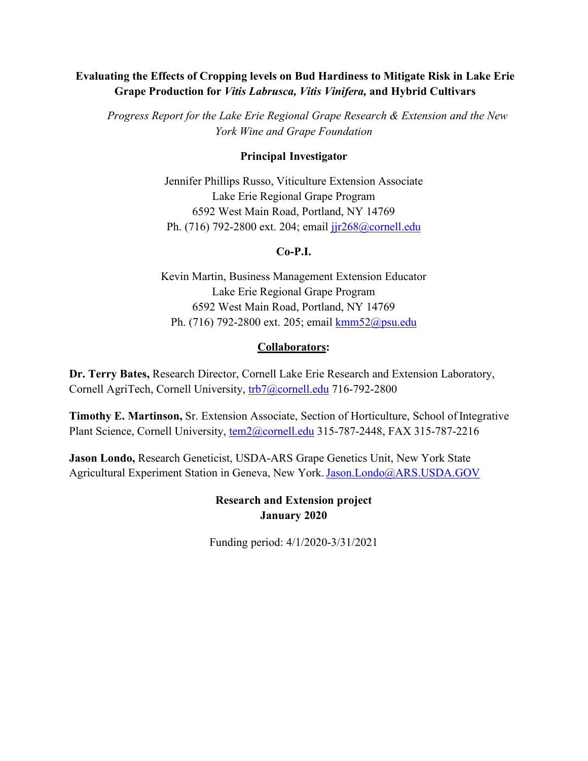## **Evaluating the Effects of Cropping levels on Bud Hardiness to Mitigate Risk in Lake Erie Grape Production for** *Vitis Labrusca, Vitis Vinifera,* **and Hybrid Cultivars**

*Progress Report for the Lake Erie Regional Grape Research & Extension and the New York Wine and Grape Foundation*

#### **Principal Investigator**

Jennifer Phillips Russo, Viticulture Extension Associate Lake Erie Regional Grape Program 6592 West Main Road, Portland, NY 14769 Ph. (716) 792-2800 ext. 204; email  $j/r \frac{1}{r^2}$ 68@cornell.edu

### **Co-P.I.**

Kevin Martin, Business Management Extension Educator Lake Erie Regional Grape Program 6592 West Main Road, Portland, NY 14769 Ph. (716) 792-2800 ext. 205; email [kmm52@psu.edu](mailto:kmm52@psu.edu)

### **Collaborators:**

**Dr. Terry Bates,** Research Director, Cornell Lake Erie Research and Extension Laboratory, Cornell AgriTech, Cornell University, [trb7@cornell.edu](mailto:trb7@cornell.edu) 716-792-2800

**Timothy E. Martinson,** Sr. Extension Associate, Section of Horticulture, School of Integrative Plant Science, Cornell University, [tem2@cornell.edu](mailto:tem2@cornell.edu) 315-787-2448, FAX 315-787-2216

**Jason Londo,** Research Geneticist, USDA-ARS Grape Genetics Unit, New York State Agricultural Experiment Station in Geneva, New York. [Jason.Londo@ARS.USDA.GOV](mailto:Jason.Londo@ARS.USDA.GOV)

> **Research and Extension project January 2020**

Funding period: 4/1/2020-3/31/2021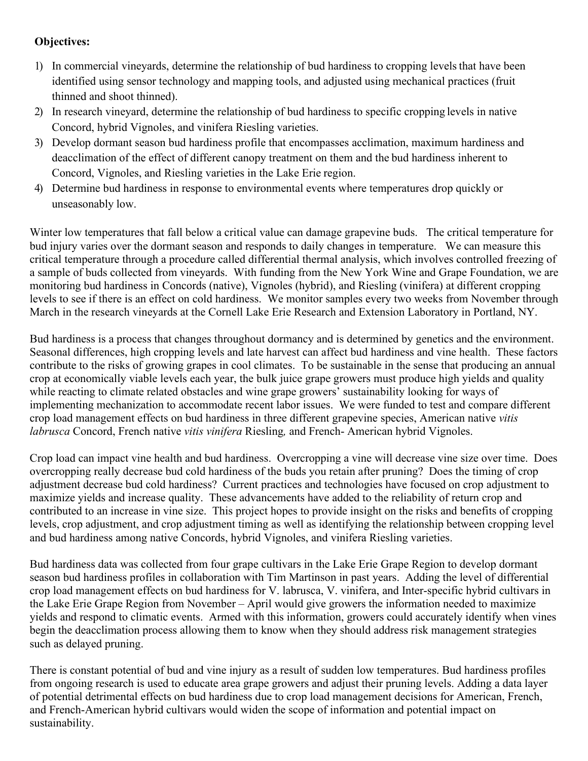# **Objectives:**

- 1) In commercial vineyards, determine the relationship of bud hardiness to cropping levelsthat have been identified using sensor technology and mapping tools, and adjusted using mechanical practices (fruit thinned and shoot thinned).
- 2) In research vineyard, determine the relationship of bud hardiness to specific cropping levels in native Concord, hybrid Vignoles, and vinifera Riesling varieties.
- 3) Develop dormant season bud hardiness profile that encompasses acclimation, maximum hardiness and deacclimation of the effect of different canopy treatment on them and the bud hardiness inherent to Concord, Vignoles, and Riesling varieties in the Lake Erie region.
- 4) Determine bud hardiness in response to environmental events where temperatures drop quickly or unseasonably low.

Winter low temperatures that fall below a critical value can damage grapevine buds. The critical temperature for bud injury varies over the dormant season and responds to daily changes in temperature. We can measure this critical temperature through a procedure called differential thermal analysis, which involves controlled freezing of a sample of buds collected from vineyards. With funding from the New York Wine and Grape Foundation, we are monitoring bud hardiness in Concords (native), Vignoles (hybrid), and Riesling (vinifera) at different cropping levels to see if there is an effect on cold hardiness. We monitor samples every two weeks from November through March in the research vineyards at the Cornell Lake Erie Research and Extension Laboratory in Portland, NY.

Bud hardiness is a process that changes throughout dormancy and is determined by genetics and the environment. Seasonal differences, high cropping levels and late harvest can affect bud hardiness and vine health. These factors contribute to the risks of growing grapes in cool climates. To be sustainable in the sense that producing an annual crop at economically viable levels each year, the bulk juice grape growers must produce high yields and quality while reacting to climate related obstacles and wine grape growers' sustainability looking for ways of implementing mechanization to accommodate recent labor issues. We were funded to test and compare different crop load management effects on bud hardiness in three different grapevine species, American native *vitis labrusca* Concord, French native *vitis vinifera* Riesling*,* and French- American hybrid Vignoles.

Crop load can impact vine health and bud hardiness. Overcropping a vine will decrease vine size over time. Does overcropping really decrease bud cold hardiness of the buds you retain after pruning? Does the timing of crop adjustment decrease bud cold hardiness? Current practices and technologies have focused on crop adjustment to maximize yields and increase quality. These advancements have added to the reliability of return crop and contributed to an increase in vine size. This project hopes to provide insight on the risks and benefits of cropping levels, crop adjustment, and crop adjustment timing as well as identifying the relationship between cropping level and bud hardiness among native Concords, hybrid Vignoles, and vinifera Riesling varieties.

Bud hardiness data was collected from four grape cultivars in the Lake Erie Grape Region to develop dormant season bud hardiness profiles in collaboration with Tim Martinson in past years. Adding the level of differential crop load management effects on bud hardiness for V. labrusca, V. vinifera, and Inter-specific hybrid cultivars in the Lake Erie Grape Region from November – April would give growers the information needed to maximize yields and respond to climatic events. Armed with this information, growers could accurately identify when vines begin the deacclimation process allowing them to know when they should address risk management strategies such as delayed pruning.

There is constant potential of bud and vine injury as a result of sudden low temperatures. Bud hardiness profiles from ongoing research is used to educate area grape growers and adjust their pruning levels. Adding a data layer of potential detrimental effects on bud hardiness due to crop load management decisions for American, French, and French-American hybrid cultivars would widen the scope of information and potential impact on sustainability.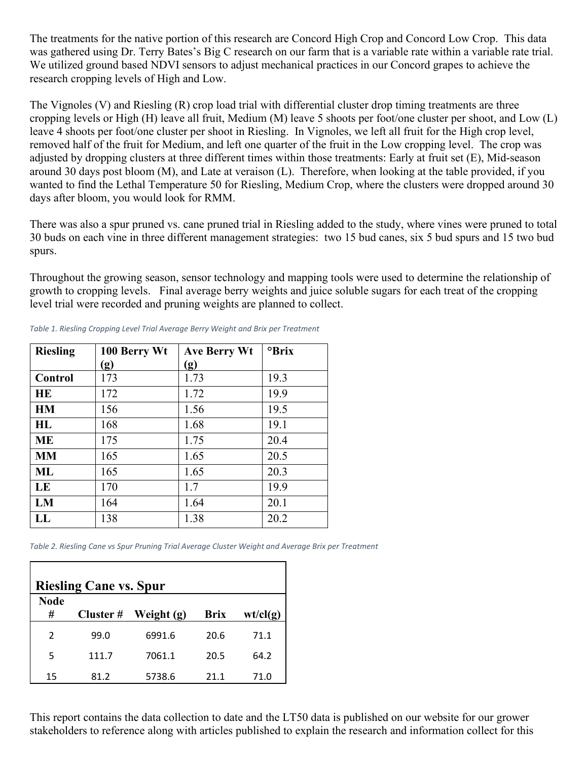The treatments for the native portion of this research are Concord High Crop and Concord Low Crop. This data was gathered using Dr. Terry Bates's Big C research on our farm that is a variable rate within a variable rate trial. We utilized ground based NDVI sensors to adjust mechanical practices in our Concord grapes to achieve the research cropping levels of High and Low.

The Vignoles (V) and Riesling (R) crop load trial with differential cluster drop timing treatments are three cropping levels or High (H) leave all fruit, Medium (M) leave 5 shoots per foot/one cluster per shoot, and Low (L) leave 4 shoots per foot/one cluster per shoot in Riesling. In Vignoles, we left all fruit for the High crop level, removed half of the fruit for Medium, and left one quarter of the fruit in the Low cropping level. The crop was adjusted by dropping clusters at three different times within those treatments: Early at fruit set (E), Mid-season around 30 days post bloom (M), and Late at veraison (L). Therefore, when looking at the table provided, if you wanted to find the Lethal Temperature 50 for Riesling, Medium Crop, where the clusters were dropped around 30 days after bloom, you would look for RMM.

There was also a spur pruned vs. cane pruned trial in Riesling added to the study, where vines were pruned to total 30 buds on each vine in three different management strategies: two 15 bud canes, six 5 bud spurs and 15 two bud spurs.

Throughout the growing season, sensor technology and mapping tools were used to determine the relationship of growth to cropping levels. Final average berry weights and juice soluble sugars for each treat of the cropping level trial were recorded and pruning weights are planned to collect.

| <b>Riesling</b> | 100 Berry Wt               | Ave Berry Wt | <sup>o</sup> Brix |
|-----------------|----------------------------|--------------|-------------------|
|                 | $\left( \mathbf{g}\right)$ | (g)          |                   |
| Control         | 173                        | 1.73         | 19.3              |
| HE              | 172                        | 1.72         | 19.9              |
| <b>HM</b>       | 156                        | 1.56         | 19.5              |
| HL              | 168                        | 1.68         | 19.1              |
| <b>ME</b>       | 175                        | 1.75         | 20.4              |
| <b>MM</b>       | 165                        | 1.65         | 20.5              |
| ML              | 165                        | 1.65         | 20.3              |
| LE              | 170                        | 1.7          | 19.9              |
| LM              | 164                        | 1.64         | 20.1              |
| LL              | 138                        | 1.38         | 20.2              |

*Table 1. Riesling Cropping Level Trial Average Berry Weight and Brix per Treatment*

*Table 2. Riesling Cane vs Spur Pruning Trial Average Cluster Weight and Average Brix per Treatment*

| <b>Riesling Cane vs. Spur</b> |          |            |             |          |  |  |  |
|-------------------------------|----------|------------|-------------|----------|--|--|--|
| <b>Node</b>                   |          |            |             |          |  |  |  |
| #                             | Cluster# | Weight (g) | <b>Brix</b> | wt/cl(g) |  |  |  |
| $\mathfrak{p}$                | 99.0     | 6991.6     | 20.6        | 71.1     |  |  |  |
| 5                             | 111.7    | 7061.1     | 20.5        | 64.2     |  |  |  |
| 15                            | 81.2     | 5738.6     | 21.1        | 71.0     |  |  |  |

This report contains the data collection to date and the LT50 data is published on our website for our grower stakeholders to reference along with articles published to explain the research and information collect for this